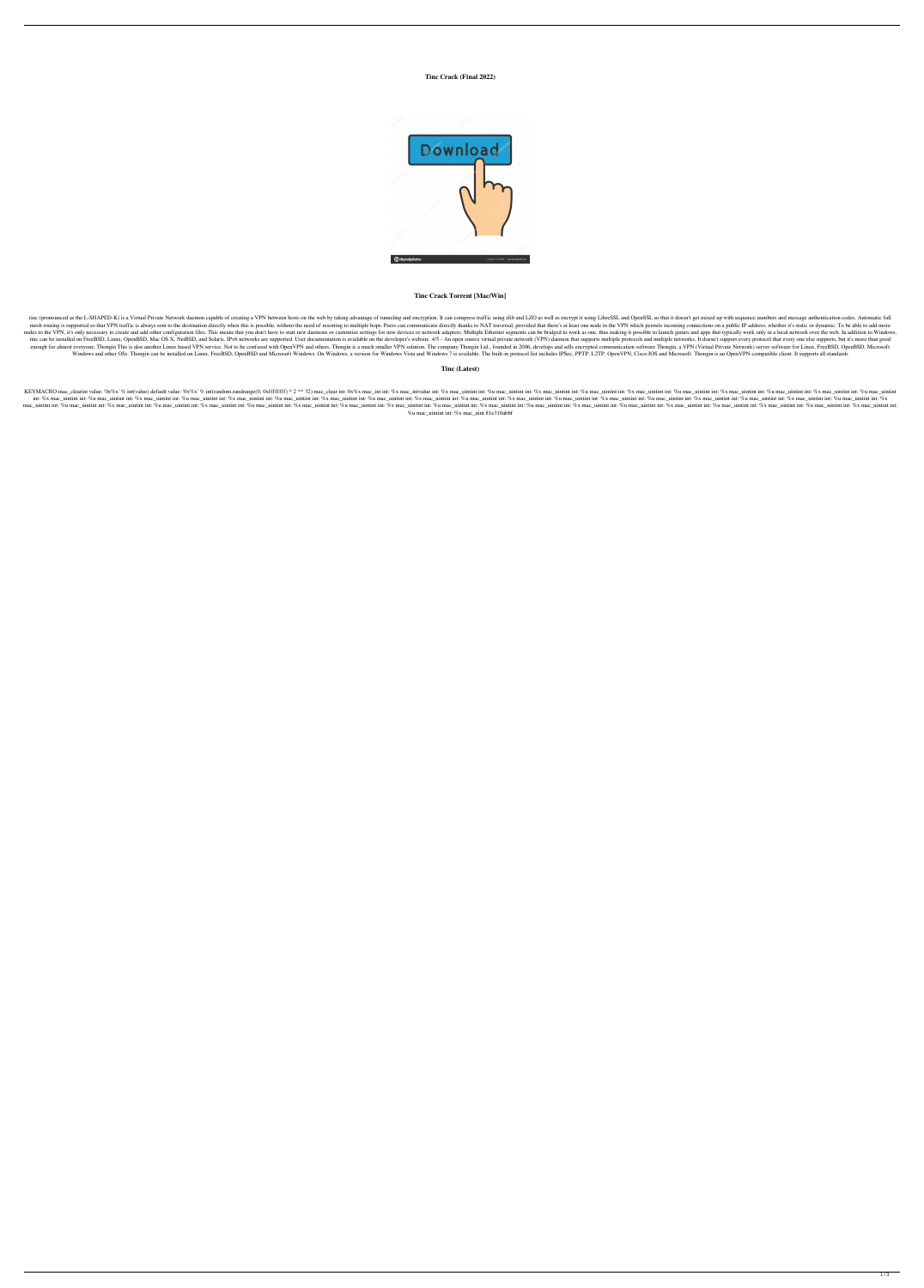## **Tinc Crack (Final 2022)**



# **Tinc Crack Torrent [Mac/Win]**

tinc (pronounced as the L-SHAPED-K) is a Virtual Private Network daemon capable of creating a VPN between hosts on the web by taking advantage of tunneling and encryption. It can compress traffic using zlib and LZO as well mesh routing is supported so that VPN traffic is always sent to the destination directly when this is possible, without the need of resorting to multiple hops. Peers can communicate directly thanks to NAT traversal, provid nodes to the VPN, it's only necessary to create and add other configuration files. This means that you don't have to start new daemons or customize settings for new devices or network adapters. Multiple Ethernet segments c tinc can be installed on FreeBSD, Linux, OpenBSD, Mac OS X, NetBSD, and Solaris. IPv6 networks are supported. User documentation is available on the developer's website. 4/5 - An open source virtual private network (VPN) d enough for almost everyone. Thongin This is also another Linux based VPN service. Not to be confused with OpenVPN and others, Thongin is a much smaller VPN solution. The company Thongin Ltd., founded in 2006, develops and Windows and other OSs. Thongin can be installed on Linux, FreeBSD, OpenBSD and Microsoft Windows. On Windows, a version for Windows Vista and Windows 7 is available. The built-in protocol list includes IPSec, PPTP, L2TP, O

KEYMACRO mac\_clearint value: '0x%x' % int(value) default value: '0x%x' % int(random.randrange(0, 0xffffffff) \* 2 \*\* 32) mac\_clear int: 0x%x mac\_int int: %x mac\_uintint int: %x mac\_uintint int: %x mac\_uintint int: %x mac\_ui int: %x mac\_uintint int: %x mac\_uintint int: %x mac\_uintint int: %x mac\_uintint int: %x mac\_uintint int: %x mac\_uintint int: %x mac\_uintint int: %x mac\_uintint int: %x mac\_uintint int: %x mac\_uintint int: %x mac\_uintint in mac\_uintint int: %u mac\_uintint int: %u mac\_uintint int: %u mac\_uintint int: %u mac\_uintint int: %u mac\_uintint int: %u mac\_uintint int: %u mac\_uintint int: %u mac\_uintint int: %u mac\_uintint int: %u mac\_uintint int: %u ma %u mac\_uintint int: %x mac\_uint 81e310abbf

### **Tinc (Latest)**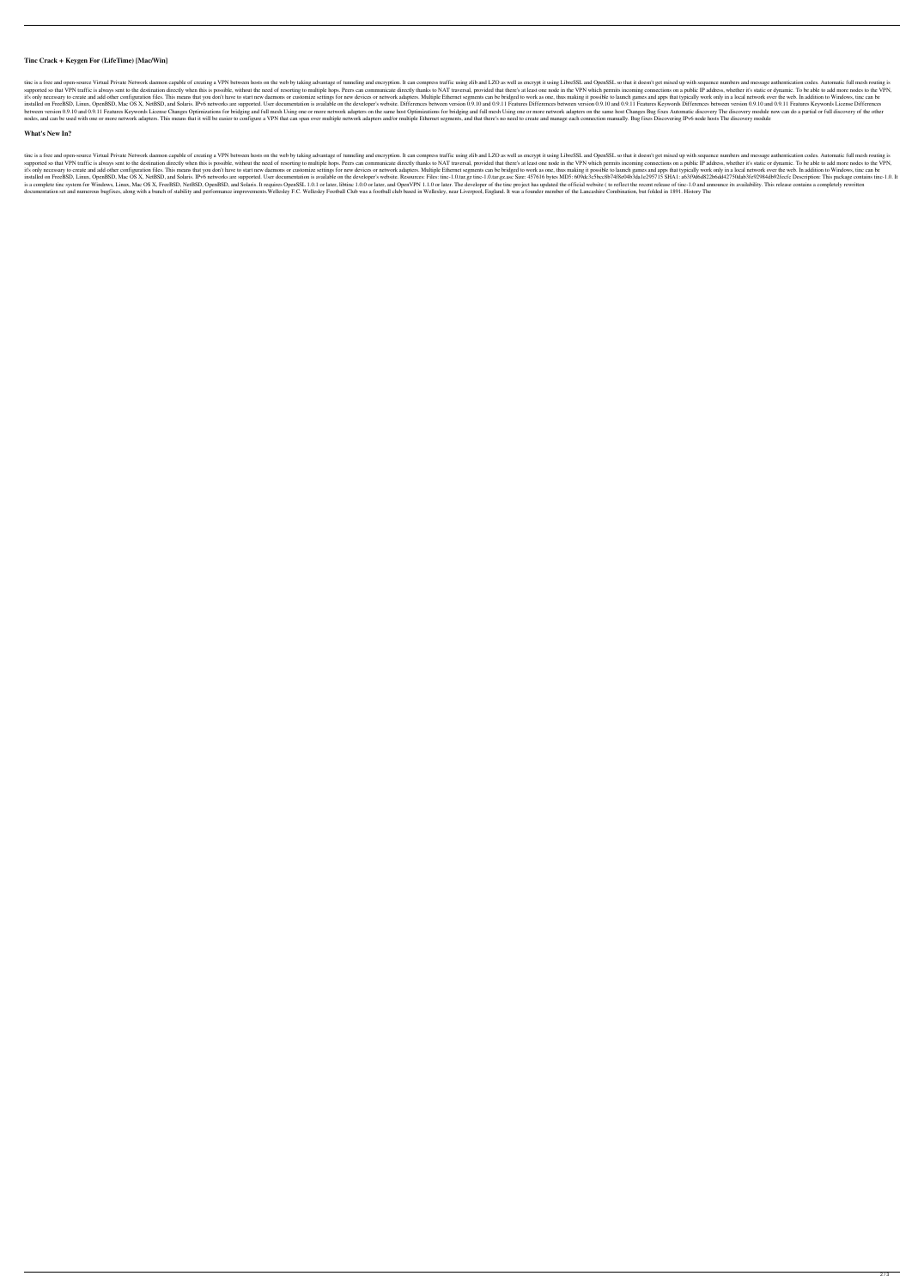### **Tinc Crack + Keygen For (LifeTime) [Mac/Win]**

tine is a free and open-source Virtual Private Network daemon capable of creating a VPN between hosts on the web by taking advantage of tunneling and encryption. It can compress traffic using zlib and LZO as well as encryp supported so that VPN traffic is always sent to the destination directly when this is possible, without the need of resorting to multiple hops. Peers can communicate directly thanks to NAT traversal, provided that there's it's only necessary to create and add other configuration files. This means that you don't have to start new daemons or customize settings for new devices or network adapters. Multiple Ethernet segments can be bridged to w installed on FreeBSD, Linux, OpenBSD, Mac OS X, NetBSD, and Solaris. IPv6 networks are supported. User documentation is available on the developer's website. Differences between version 0.9.10 and 0.9.11 Features Keywords between version 0.9.10 and 0.9.11 Features Keywords License Changes Optimizations for bridging and full mesh Using one or more network adapters on the same host Optimizations for bridging and full mesh Using one or more ne nodes, and can be used with one or more network adapters. This means that it will be easier to configure a VPN that can span over multiple network adapters and/or multiple Ethernet segments, and that there's no need to cre

### **What's New In?**

tine is a free and open-source Virtual Private Network daemon capable of creating a VPN between hosts on the web by taking advantage of tunneling and encryption. It can compress traffic using zlib and LZO as well as encryp supported so that VPN traffic is always sent to the destination directly when this is possible, without the need of resorting to multiple hops. Peers can communicate directly thanks to NAT traversal, provided that there's it's only necessary to create and add other configuration files. This means that you don't have to start new daemons or customize settings for new devices or network adapters. Multiple Ethernet segments can be bridged to w 1.0.1 tr. 2.1 as S19d6d822b6dd42750dab3fe92984db92fecfc Description: This package contains tinc-1.0.1tr. 2.0.1 act/osis a complete tinc system for Windows, Linux, Mac OS X, FreeBSD, NetBSD, OpenBSD, and Solaris. It requires OpenSSL 1.0.1 or later, libtinc 1.0.0 or later, and OpenVPN 1.1.0 or later. The developer of the tinc project has u documentation set and numerous bugfixes, along with a bunch of stability and performance improvements. Wellesley F.C. Wellesley F.C. Wellesley Football Club was a football club based in Wellesley, near Liverpool, England.